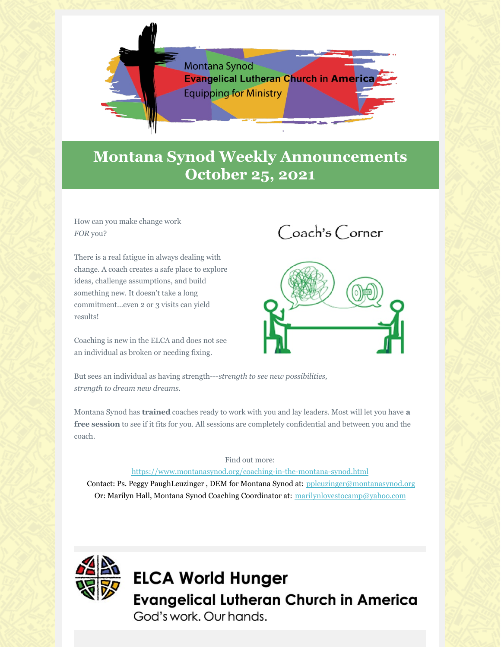

### **Montana Synod Weekly Announcements October 25, 2021**

How can you make change work *FOR* you?

There is a real fatigue in always dealing with change. A coach creates a safe place to explore ideas, challenge assumptions, and build something new. It doesn't take a long commitment…even 2 or 3 visits can yield results!

Coaching is new in the ELCA and does not see an individual as broken or needing fixing.





But sees an individual as having strength---*strength to see new possibilities, strength to dream new dreams.*

Montana Synod has **trained** coaches ready to work with you and lay leaders. Most will let you have **a free session** to see if it fits for you. All sessions are completely confidential and between you and the coach.

### Find out more:

https://www.montanasynod.org/coaching-in-the-montana-synod.html

Contact: Ps. Peggy PaughLeuzinger , DEM for Montana Synod at: ppleuzinger@montanasynod.org Or: Marilyn Hall, Montana Synod Coaching Coordinator at: marilynlovestocamp@yahoo.com



**ELCA World Hunger Evangelical Lutheran Church in America** God's work, Our hands,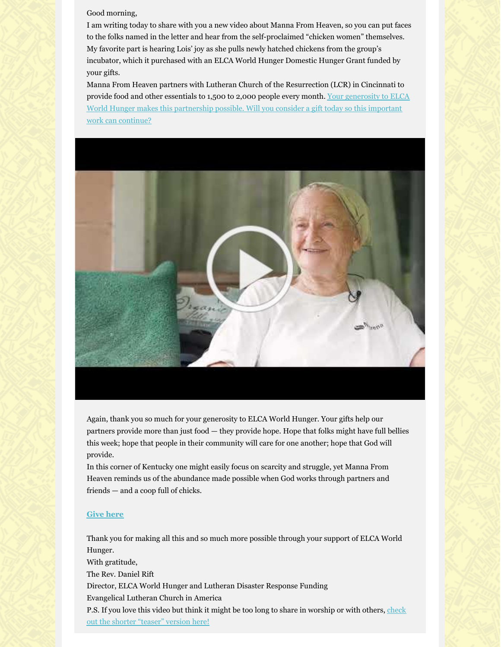Good morning,

I am writing today to share with you a new video about Manna From Heaven, so you can put faces to the folks named in the letter and hear from the self-proclaimed "chicken women" themselves. My favorite part is hearing Lois' joy as she pulls newly hatched chickens from the group's incubator, which it purchased with an ELCA World Hunger Domestic Hunger Grant funded by your gifts.

Manna From Heaven partners with Lutheran Church of the Resurrection (LCR) in Cincinnati to provide food and other essentials to 1,500 to 2,000 people every month. Your generosity to ELCA World Hunger makes this partnership possible. Will you consider a gift today so this important work can continue?



Again, thank you so much for your generosity to ELCA World Hunger. Your gifts help our partners provide more than just food — they provide hope. Hope that folks might have full bellies this week; hope that people in their community will care for one another; hope that God will provide.

In this corner of Kentucky one might easily focus on scarcity and struggle, yet Manna From Heaven reminds us of the abundance made possible when God works through partners and friends — and a coop full of chicks.

#### **Give here**

Thank you for making all this and so much more possible through your support of ELCA World Hunger. With gratitude, The Rev. Daniel Rift Director, ELCA World Hunger and Lutheran Disaster Response Funding Evangelical Lutheran Church in America P.S. If you love this video but think it might be too long to share in worship or with others, check out the shorter "teaser" version here!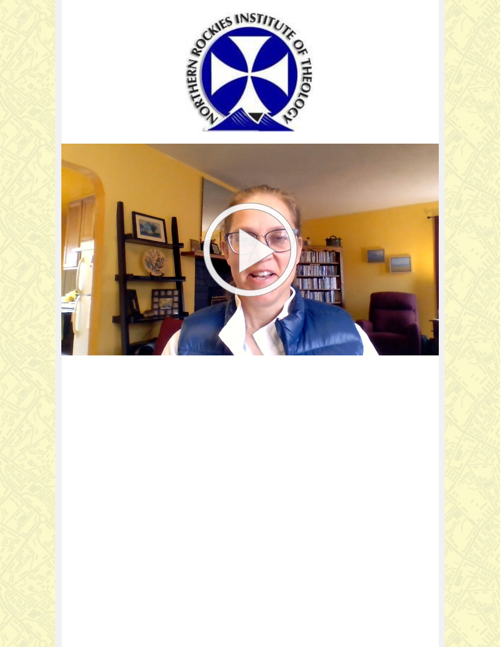

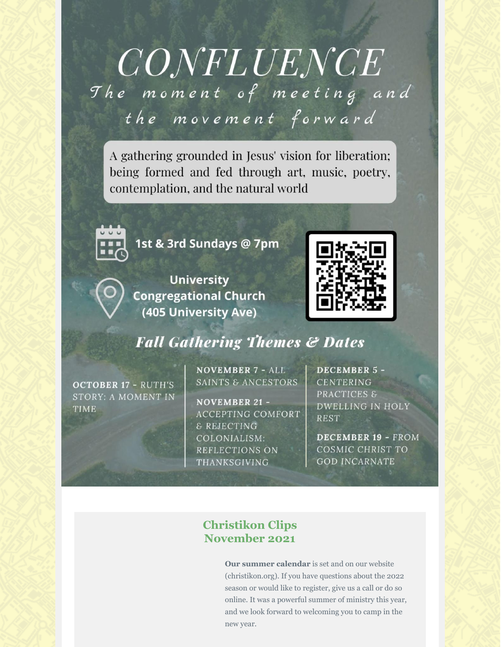# *CONFLUENCE* The moment of meeting and the movement forward

A gathering grounded in Jesus' vision for liberation; being formed and fed through art, music, poetry, contemplation, and the natural world



1st & 3rd Sundays @ 7pm

**University Congregational Church** (405 University Ave)



## **Fall Gathering Themes & Dates**

OCTOBER 17 - RUTH'S **STORY: A MOMENT IN TIME** 

**NOVEMBER 7 - ALL SAINTS & ANCESTORS** 

**NOVEMBER 21 -ACCEPTING COMFORT** & REJECTING COLONIALISM: REFLECTIONS ON THANKSGIVING

**DECEMBER 5 -**CENTERING **PRACTICES & DWELLING IN HOLY REST** 

**DECEMBER 19 - FROM** COSMIC CHRIST TO **GOD INCARNATE** 

### **Christikon Clips November 2021**

Our summer calendar is set and on our website (christikon.org). If you have questions about the 2022 season or would like to register, give us a call or do so online. It was a powerful summer of ministry this year, and we look forward to welcoming you to camp in the new year.